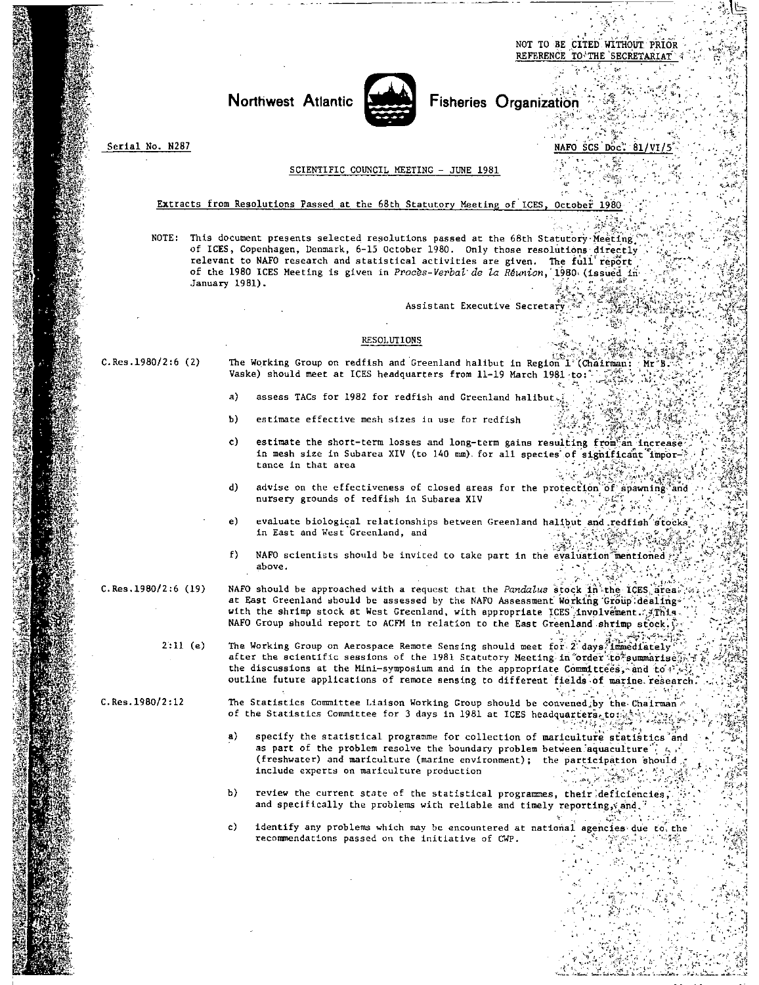NOT TO BE CITED WITHOUT PRIOR REFERENCE TO THE SECRETARIAT

• .

k•I

'.1



**Northwest Atlantic <b>Fisheries** Organization

Serial No. N287 NAFO SCS Doc: SCIENTIFIC COUNCIL MEETING - JUNE 1981 Extracts from Resolutions Passed at the 68th Statutory Meeting of ICES, October 1980 NOTE: This document presents selected resolutions passed at the 68th Statutory-Meeting. of ICES, Copenhagen, Denmark, 6-15 October 1980. Only those resolutions directly relevant to NAFO research and statistical activities are given. The full report of the 1980 ICES Meeting is given in *Proces-Verbal'de is* Reunion,'1980,(issued.in• January 1981). Assistant Executive Secretary RESOLUTIONS The Working Group on redfish and Greenland halibut in Region 1 (Chairman: C.Res.1980/2:6 (2)  $Mr^{\prime}B$ Vaske) should meet at ICES headquarters from 11-19 March 1981-to:  $a)$ assess TACs for 1982 for redfish and Greenland halibut. Ъ) estimate effective mesh sizes in use for redfish c) estimate the short-term losses and long-term gains resulting from an increase in mesh size in Subarea XIV (to 140 mm) for all species of significant impor-<br>tance in that area  $\frac{1}{2}$  $\tan \mathrm{ce}$  in that area  $\mathcal{L} = \left\{ \begin{array}{ccc} \mathcal{L} & \mathcal{L} & \mathcal{L} & \mathcal{L} & \mathcal{L} & \mathcal{L} & \mathcal{L} & \mathcal{L} & \mathcal{L} & \mathcal{L} & \mathcal{L} & \mathcal{L} & \mathcal{L} & \mathcal{L} & \mathcal{L} & \mathcal{L} & \mathcal{L} & \mathcal{L} & \mathcal{L} & \mathcal{L} & \mathcal{L} & \mathcal{L} & \mathcal{L} & \mathcal{L} & \mathcal{L} & \mathcal{$ advise on the effectiveness of closed areas for the protection of apawning and nursery grounds of redfish in Subarea XIV d) nursery grounds of redfish in Subarea XIV  $\mathcal{O}_{\mathcal{A}}$  ,  $\mathcal{O}_{\mathcal{A}}$  , and  $\mathcal{O}_{\mathcal{A}}$ e) evaluate biological relationships between Greenland halibut and redfish at redfish and west Greenland, and<br>بالمناسخ المناسب المناسب المناسب المناسب المناسب المناسب المناسب المناسب المناسب المناسب المناسب المناسب المناس<br> in East and West Greenland, and  $\sim 1$ f) NAFO scientists should be invited to take part in the evaluation mentioned . above. above. The contract of the contract of the contract of the contract of the contract of the contract of the contract of the contract of the contract of the contract of the contract of the contract of the contract of the con C.Res.1980/2:6 (19) NAFO should be approached with a request that the Pandalus stock in the ICES area. at East Greenland should be assessed by the NAFO Assessment Working Group dealing" with the shrimp stock at West Greenland, with appropriate ICES involvement.  $\sqrt{s}$ This-NAFO Group should report to ACFM in relation to the East Greenland shrimp stock. $\hat{\mathcal{V}}$ . التأسيات الإتم 2:11 (e) The Working Group on Aerospace Remote Sensing should meet for  $2 \cdot 2$  days immediately after the scientific sessions of the 1981 Statutory Meeting in order to summarise, the discussions at the Mini-symposium and in the appropriate Committees, and to  $V$ . outline future applications of remote sensing to different fields of marine research. 解释 经现实额 C.Res.1980/2:12 The Statistics Committee Liaison Working Group should be convened,by the Chairman,<br>4 of the Statistics Committee for 3 days in 1981 at ICES headquarters, to the Statistics Committee for 3 days in 1981 at IC of the Statistics Committee for 3 days in 1981 at ICES headquarters.to:41 specify the statistical programme for collection of mariculture statistics and a) as part of the problem resolve the boundary problem between aquaculture  $\mathbb{E}[\mathbf{c}_i]$ (freshwater) and mariculture (marine environment); the participation should  $\pi$  include experts on mariculture production include experts on mariculture production b) review the current state of the statistical programmes, their.deficiencies, and specifically the problems with reliable and timely reporting,  $\sinh(\theta)$ c) identify any problems which may be encountered at national agencies due to the recommendations passed on the initiative of CWP.